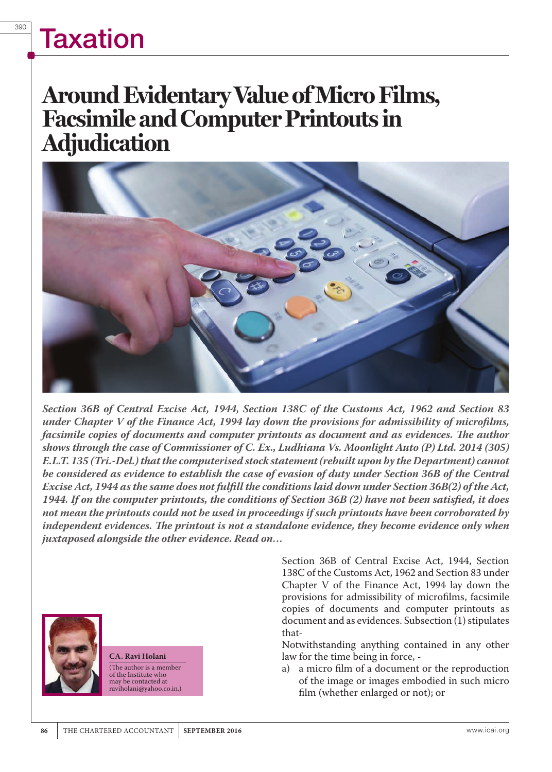# **Taxation**

### **Around Evidentary Value of Micro Films, Facsimile and Computer Printouts in Adjudication**



*Section 36B of Central Excise Act, 1944, Section 138C of the Customs Act, 1962 and Section 83 under Chapter V of the Finance Act, 1994 lay down the provisions for admissibility of microfilms,*  facsimile copies of documents and computer printouts as document and as evidences. The author *shows through the case of Commissioner of C. Ex., Ludhiana Vs. Moonlight Auto (P) Ltd. 2014 (305) E.L.T. 135 (Tri.-Del.) that the computerised stock statement (rebuilt upon by the Department) cannot be considered as evidence to establish the case of evasion of duty under Section 36B of the Central Excise Act, 1944 as the same does not fulfill the conditions laid down under Section 36B(2) of the Act, 1944. If on the computer printouts, the conditions of Section 36B (2) have not been satisfied, it does not mean the printouts could not be used in proceedings if such printouts have been corroborated by independent evidences. The printout is not a standalone evidence, they become evidence only when juxtaposed alongside the other evidence. Read on…*



**CA. Ravi Holani** (The author is a member of the Institute who may be contacted at raviholani@yahoo.co.in.)

Section 36B of Central Excise Act, 1944, Section 138C of the Customs Act, 1962 and Section 83 under Chapter V of the Finance Act, 1994 lay down the provisions for admissibility of microfilms, facsimile copies of documents and computer printouts as document and as evidences. Subsection (1) stipulates that-

Notwithstanding anything contained in any other law for the time being in force, -

a) a micro film of a document or the reproduction of the image or images embodied in such micro film (whether enlarged or not); or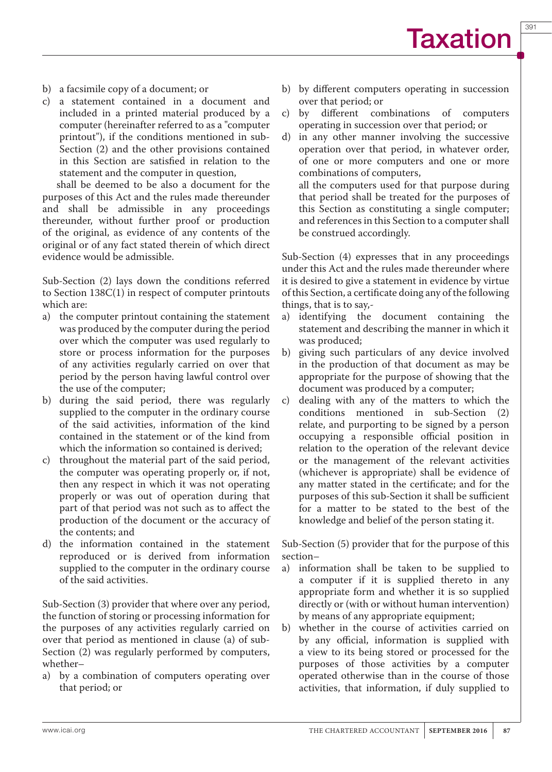391

- b) a facsimile copy of a document; or
- c) a statement contained in a document and included in a printed material produced by a computer (hereinafter referred to as a "computer printout"), if the conditions mentioned in sub-Section (2) and the other provisions contained in this Section are satisfied in relation to the statement and the computer in question,

shall be deemed to be also a document for the purposes of this Act and the rules made thereunder and shall be admissible in any proceedings thereunder, without further proof or production of the original, as evidence of any contents of the original or of any fact stated therein of which direct evidence would be admissible.

Sub-Section (2) lays down the conditions referred to Section 138C(1) in respect of computer printouts which are:

- a) the computer printout containing the statement was produced by the computer during the period over which the computer was used regularly to store or process information for the purposes of any activities regularly carried on over that period by the person having lawful control over the use of the computer;
- b) during the said period, there was regularly supplied to the computer in the ordinary course of the said activities, information of the kind contained in the statement or of the kind from which the information so contained is derived;
- c) throughout the material part of the said period, the computer was operating properly or, if not, then any respect in which it was not operating properly or was out of operation during that part of that period was not such as to affect the production of the document or the accuracy of the contents; and
- d) the information contained in the statement reproduced or is derived from information supplied to the computer in the ordinary course of the said activities.

Sub-Section (3) provider that where over any period, the function of storing or processing information for the purposes of any activities regularly carried on over that period as mentioned in clause (a) of sub-Section (2) was regularly performed by computers, whether–

a) by a combination of computers operating over that period; or

- b) by different computers operating in succession over that period; or
- c) by different combinations of computers operating in succession over that period; or
- d) in any other manner involving the successive operation over that period, in whatever order, of one or more computers and one or more combinations of computers, all the computers used for that purpose during that period shall be treated for the purposes of this Section as constituting a single computer; and references in this Section to a computer shall be construed accordingly.

Sub-Section (4) expresses that in any proceedings under this Act and the rules made thereunder where it is desired to give a statement in evidence by virtue of this Section, a certificate doing any of the following things, that is to say,-

- a) identifying the document containing the statement and describing the manner in which it was produced;
- b) giving such particulars of any device involved in the production of that document as may be appropriate for the purpose of showing that the document was produced by a computer;
- c) dealing with any of the matters to which the conditions mentioned in sub-Section relate, and purporting to be signed by a person occupying a responsible official position in relation to the operation of the relevant device or the management of the relevant activities (whichever is appropriate) shall be evidence of any matter stated in the certificate; and for the purposes of this sub-Section it shall be sufficient for a matter to be stated to the best of the knowledge and belief of the person stating it.

Sub-Section (5) provider that for the purpose of this section–

- a) information shall be taken to be supplied to a computer if it is supplied thereto in any appropriate form and whether it is so supplied directly or (with or without human intervention) by means of any appropriate equipment;
- b) whether in the course of activities carried on by any official, information is supplied with a view to its being stored or processed for the purposes of those activities by a computer operated otherwise than in the course of those activities, that information, if duly supplied to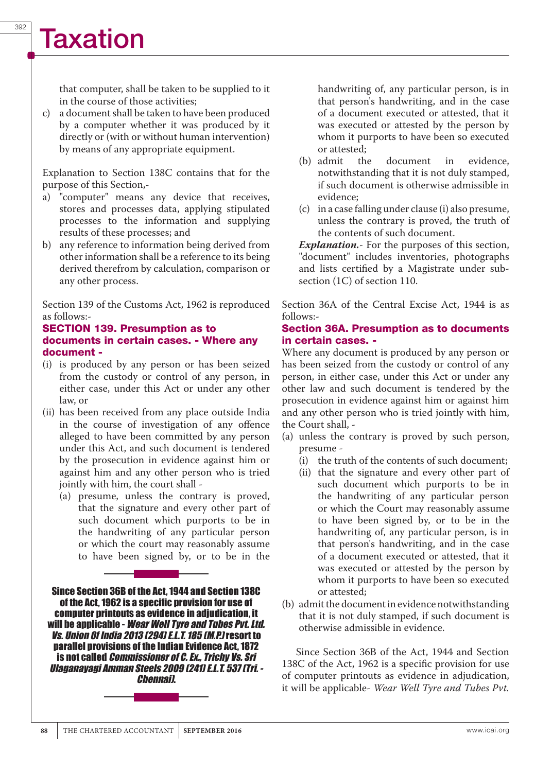that computer, shall be taken to be supplied to it in the course of those activities;

c) a document shall be taken to have been produced by a computer whether it was produced by it directly or (with or without human intervention) by means of any appropriate equipment.

Explanation to Section 138C contains that for the purpose of this Section,-

- a) "computer" means any device that receives, stores and processes data, applying stipulated processes to the information and supplying results of these processes; and
- b) any reference to information being derived from other information shall be a reference to its being derived therefrom by calculation, comparison or any other process.

Section 139 of the Customs Act, 1962 is reproduced as follows:-

#### SECTION 139. Presumption as to documents in certain cases. - Where any document -

- (i) is produced by any person or has been seized from the custody or control of any person, in either case, under this Act or under any other law, or
- (ii) has been received from any place outside India in the course of investigation of any offence alleged to have been committed by any person under this Act, and such document is tendered by the prosecution in evidence against him or against him and any other person who is tried jointly with him, the court shall -
	- (a) presume, unless the contrary is proved, that the signature and every other part of such document which purports to be in the handwriting of any particular person or which the court may reasonably assume to have been signed by, or to be in the

Since Section 36B of the Act, 1944 and Section 138C of the Act, 1962 is a specific provision for use of computer printouts as evidence in adjudication, it will be applicable - *Wear Well Tyre and Tubes Pvt. Ltd. Vs. Union 0f India 2013 (294) E.L.T. 185 (M.P.)* resort to parallel provisions of the Indian Evidence Act, 1872 is not called *Commissioner of C. Ex., Trichy Vs. Sri Ulaganayagi Amman Steels 2009 (241) E.L.T. 537 (Tri. - Chennai)*.



handwriting of, any particular person, is in that person's handwriting, and in the case of a document executed or attested, that it was executed or attested by the person by whom it purports to have been so executed

- or attested;<br>(b) admit the document in evidence, notwithstanding that it is not duly stamped, if such document is otherwise admissible in evidence;
- (c) in a case falling under clause (i) also presume, unless the contrary is proved, the truth of the contents of such document.

*Explanation.*- For the purposes of this section, "document" includes inventories, photographs and lists certified by a Magistrate under subsection (1C) of section 110.

Section 36A of the Central Excise Act, 1944 is as follows:-

#### Section 36A. Presumption as to documents in certain cases. -

Where any document is produced by any person or has been seized from the custody or control of any person, in either case, under this Act or under any other law and such document is tendered by the prosecution in evidence against him or against him and any other person who is tried jointly with him, the Court shall, -

- (a) unless the contrary is proved by such person, presume -
	- (i) the truth of the contents of such document;
	- (ii) that the signature and every other part of such document which purports to be in the handwriting of any particular person or which the Court may reasonably assume to have been signed by, or to be in the handwriting of, any particular person, is in that person's handwriting, and in the case of a document executed or attested, that it was executed or attested by the person by whom it purports to have been so executed or attested;
- (b) admit the document in evidence notwithstanding that it is not duly stamped, if such document is otherwise admissible in evidence.

Since Section 36B of the Act, 1944 and Section 138C of the Act, 1962 is a specific provision for use of computer printouts as evidence in adjudication, it will be applicable- *Wear Well Tyre and Tubes Pvt.*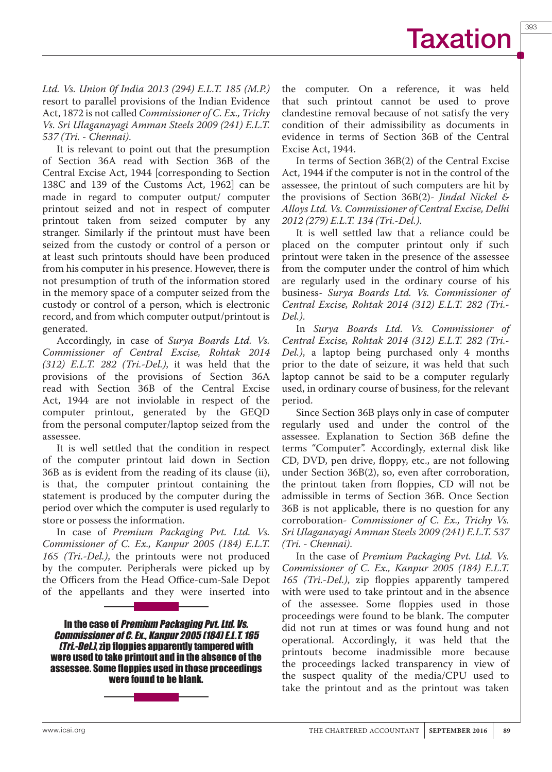393

*Ltd. Vs. Union 0f India 2013 (294) E.L.T. 185 (M.P.)*  resort to parallel provisions of the Indian Evidence Act, 1872 is not called *Commissioner of C. Ex., Trichy Vs. Sri Ulaganayagi Amman Steels 2009 (241) E.L.T. 537 (Tri. - Chennai)*.

It is relevant to point out that the presumption of Section 36A read with Section 36B of the Central Excise Act, 1944 [corresponding to Section 138C and 139 of the Customs Act, 1962] can be made in regard to computer output/ computer printout seized and not in respect of computer printout taken from seized computer by any stranger. Similarly if the printout must have been seized from the custody or control of a person or at least such printouts should have been produced from his computer in his presence. However, there is not presumption of truth of the information stored in the memory space of a computer seized from the custody or control of a person, which is electronic record, and from which computer output/printout is generated.

Accordingly, in case of *Surya Boards Ltd. Vs. Commissioner of Central Excise, Rohtak 2014 (312) E.L.T. 282 (Tri.-Del.)*, it was held that the provisions of the provisions of Section 36A read with Section 36B of the Central Excise Act, 1944 are not inviolable in respect of the computer printout, generated by the GEQD from the personal computer/laptop seized from the assessee.

It is well settled that the condition in respect of the computer printout laid down in Section 36B as is evident from the reading of its clause (ii), is that, the computer printout containing the statement is produced by the computer during the period over which the computer is used regularly to store or possess the information.

In case of *Premium Packaging Pvt. Ltd. Vs. Commissioner of C. Ex., Kanpur 2005 (184) E.L.T. 165 (Tri.-Del.)*, the printouts were not produced by the computer. Peripherals were picked up by the Officers from the Head Office-cum-Sale Depot of the appellants and they were inserted into

In the case of *Premium Packaging Pvt. Ltd. Vs. Commissioner of C. Ex., Kanpur 2005 (184) E.L.T. 165 (Tri.-Del.)*, zip floppies apparently tampered with were used to take printout and in the absence of the assessee. Some floppies used in those proceedings were found to be blank.

the computer. On a reference, it was held that such printout cannot be used to prove clandestine removal because of not satisfy the very condition of their admissibility as documents in evidence in terms of Section 36B of the Central Excise Act, 1944.

In terms of Section 36B(2) of the Central Excise Act, 1944 if the computer is not in the control of the assessee, the printout of such computers are hit by the provisions of Section 36B(2)- *Jindal Nickel & Alloys Ltd. Vs. Commissioner of Central Excise, Delhi 2012 (279) E.L.T. 134 (Tri.-Del.)*.

It is well settled law that a reliance could be placed on the computer printout only if such printout were taken in the presence of the assessee from the computer under the control of him which are regularly used in the ordinary course of his business- *Surya Boards Ltd. Vs. Commissioner of Central Excise, Rohtak 2014 (312) E.L.T. 282 (Tri.- Del.)*.

In *Surya Boards Ltd. Vs. Commissioner of Central Excise, Rohtak 2014 (312) E.L.T. 282 (Tri.- Del.)*, a laptop being purchased only 4 months prior to the date of seizure, it was held that such laptop cannot be said to be a computer regularly used, in ordinary course of business, for the relevant period.

Since Section 36B plays only in case of computer regularly used and under the control of the assessee. Explanation to Section 36B define the terms "Computer". Accordingly, external disk like CD, DVD, pen drive, floppy, etc., are not following under Section 36B(2), so, even after corroboration, the printout taken from floppies, CD will not be admissible in terms of Section 36B. Once Section 36B is not applicable, there is no question for any corroboration- *Commissioner of C. Ex., Trichy Vs. Sri Ulaganayagi Amman Steels 2009 (241) E.L.T. 537 (Tri. - Chennai)*.

In the case of *Premium Packaging Pvt. Ltd. Vs. Commissioner of C. Ex., Kanpur 2005 (184) E.L.T. 165 (Tri.-Del.)*, zip floppies apparently tampered with were used to take printout and in the absence of the assessee. Some floppies used in those proceedings were found to be blank. The computer did not run at times or was found hung and not operational. Accordingly, it was held that the printouts become inadmissible more because the proceedings lacked transparency in view of the suspect quality of the media/CPU used to take the printout and as the printout was taken